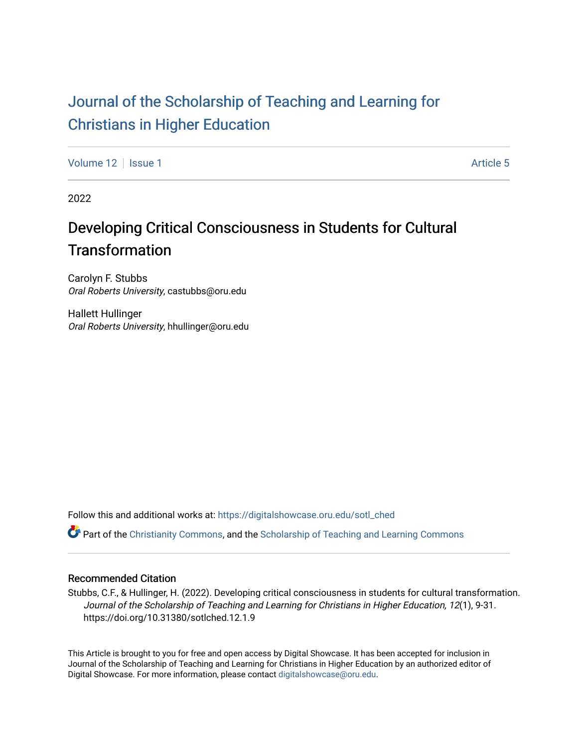# [Journal of the Scholarship of Teaching and Learning for](https://digitalshowcase.oru.edu/sotl_ched)  [Christians in Higher Education](https://digitalshowcase.oru.edu/sotl_ched)

[Volume 12](https://digitalshowcase.oru.edu/sotl_ched/vol12) Setup 1 Article 5

2022

# Developing Critical Consciousness in Students for Cultural **Transformation**

Carolyn F. Stubbs Oral Roberts University, castubbs@oru.edu

Hallett Hullinger Oral Roberts University, hhullinger@oru.edu

Follow this and additional works at: [https://digitalshowcase.oru.edu/sotl\\_ched](https://digitalshowcase.oru.edu/sotl_ched?utm_source=digitalshowcase.oru.edu%2Fsotl_ched%2Fvol12%2Fiss1%2F5&utm_medium=PDF&utm_campaign=PDFCoverPages) 

Part of the [Christianity Commons,](https://network.bepress.com/hgg/discipline/1181?utm_source=digitalshowcase.oru.edu%2Fsotl_ched%2Fvol12%2Fiss1%2F5&utm_medium=PDF&utm_campaign=PDFCoverPages) and the [Scholarship of Teaching and Learning Commons](https://network.bepress.com/hgg/discipline/1328?utm_source=digitalshowcase.oru.edu%2Fsotl_ched%2Fvol12%2Fiss1%2F5&utm_medium=PDF&utm_campaign=PDFCoverPages) 

#### Recommended Citation

Stubbs, C.F., & Hullinger, H. (2022). Developing critical consciousness in students for cultural transformation. Journal of the Scholarship of Teaching and Learning for Christians in Higher Education, 12(1), 9-31. https://doi.org/10.31380/sotlched.12.1.9

This Article is brought to you for free and open access by Digital Showcase. It has been accepted for inclusion in Journal of the Scholarship of Teaching and Learning for Christians in Higher Education by an authorized editor of Digital Showcase. For more information, please contact [digitalshowcase@oru.edu.](mailto:digitalshowcase@oru.edu)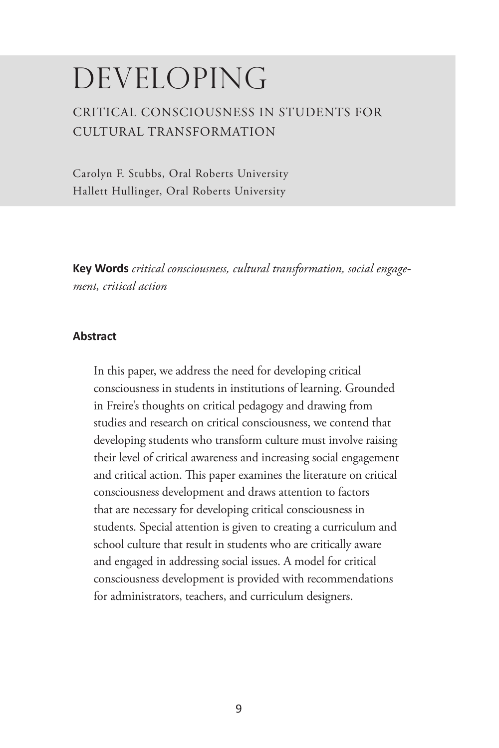# DEVELOPING

# CRITICAL CONSCIOUSNESS IN STUDENTS FOR CULTURAL TRANSFORMATION

Carolyn F. Stubbs, Oral Roberts University Hallett Hullinger, Oral Roberts University

**Key Words** *critical consciousness, cultural transformation, social engagement, critical action*

#### **Abstract**

In this paper, we address the need for developing critical consciousness in students in institutions of learning. Grounded in Freire's thoughts on critical pedagogy and drawing from studies and research on critical consciousness, we contend that developing students who transform culture must involve raising their level of critical awareness and increasing social engagement and critical action. This paper examines the literature on critical consciousness development and draws attention to factors that are necessary for developing critical consciousness in students. Special attention is given to creating a curriculum and school culture that result in students who are critically aware and engaged in addressing social issues. A model for critical consciousness development is provided with recommendations for administrators, teachers, and curriculum designers.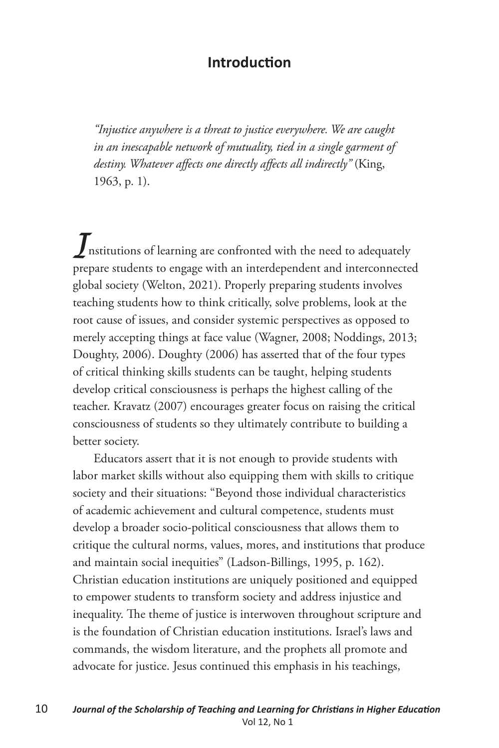#### **Introduction**

*"Injustice anywhere is a threat to justice everywhere. We are caught in an inescapable network of mutuality, tied in a single garment of destiny. Whatever affects one directly affects all indirectly"* (King, 1963, p. 1).

*I*nstitutions of learning are confronted with the need to adequately prepare students to engage with an interdependent and interconnected global society (Welton, 2021). Properly preparing students involves teaching students how to think critically, solve problems, look at the root cause of issues, and consider systemic perspectives as opposed to merely accepting things at face value (Wagner, 2008; Noddings, 2013; Doughty, 2006). Doughty (2006) has asserted that of the four types of critical thinking skills students can be taught, helping students develop critical consciousness is perhaps the highest calling of the teacher. Kravatz (2007) encourages greater focus on raising the critical consciousness of students so they ultimately contribute to building a better society.

Educators assert that it is not enough to provide students with labor market skills without also equipping them with skills to critique society and their situations: "Beyond those individual characteristics of academic achievement and cultural competence, students must develop a broader socio-political consciousness that allows them to critique the cultural norms, values, mores, and institutions that produce and maintain social inequities" (Ladson-Billings, 1995, p. 162). Christian education institutions are uniquely positioned and equipped to empower students to transform society and address injustice and inequality. The theme of justice is interwoven throughout scripture and is the foundation of Christian education institutions. Israel's laws and commands, the wisdom literature, and the prophets all promote and advocate for justice. Jesus continued this emphasis in his teachings,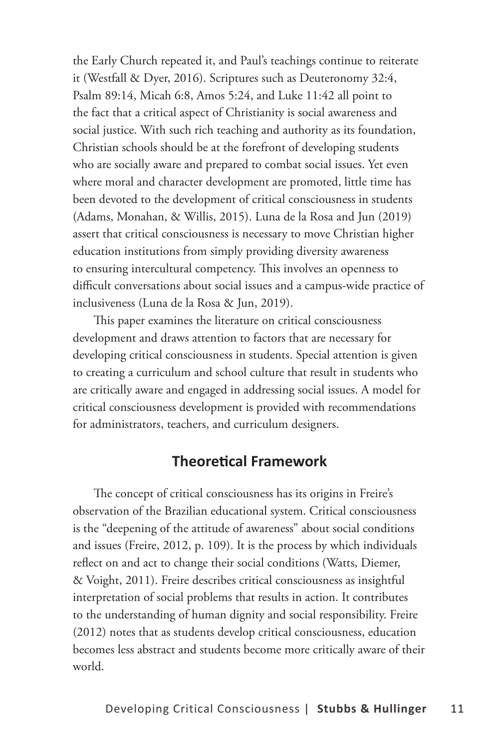the Early Church repeated it, and Paul's teachings continue to reiterate it (Westfall & Dyer, 2016). Scriptures such as Deuteronomy 32:4, Psalm 89:14, Micah 6:8, Amos 5:24, and Luke 11:42 all point to the fact that a critical aspect of Christianity is social awareness and social justice. With such rich teaching and authority as its foundation, Christian schools should be at the forefront of developing students who are socially aware and prepared to combat social issues. Yet even where moral and character development are promoted, little time has been devoted to the development of critical consciousness in students (Adams, Monahan, & Willis, 2015). Luna de la Rosa and Jun (2019) assert that critical consciousness is necessary to move Christian higher education institutions from simply providing diversity awareness to ensuring intercultural competency. This involves an openness to difficult conversations about social issues and a campus-wide practice of inclusiveness (Luna de la Rosa & Jun, 2019).

This paper examines the literature on critical consciousness development and draws attention to factors that are necessary for developing critical consciousness in students. Special attention is given to creating a curriculum and school culture that result in students who are critically aware and engaged in addressing social issues. A model for critical consciousness development is provided with recommendations for administrators, teachers, and curriculum designers.

#### **Theoretical Framework**

The concept of critical consciousness has its origins in Freire's observation of the Brazilian educational system. Critical consciousness is the "deepening of the attitude of awareness" about social conditions and issues (Freire, 2012, p. 109). It is the process by which individuals reflect on and act to change their social conditions (Watts, Diemer, & Voight, 2011). Freire describes critical consciousness as insightful interpretation of social problems that results in action. It contributes to the understanding of human dignity and social responsibility. Freire (2012) notes that as students develop critical consciousness, education becomes less abstract and students become more critically aware of their world.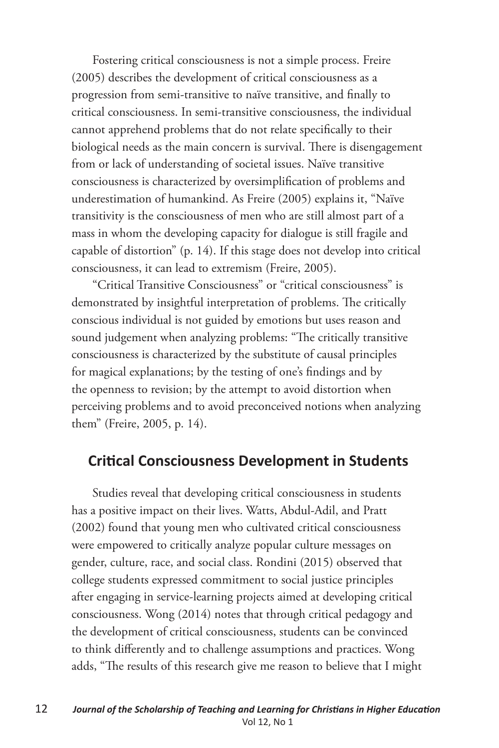Fostering critical consciousness is not a simple process. Freire (2005) describes the development of critical consciousness as a progression from semi-transitive to naïve transitive, and finally to critical consciousness. In semi-transitive consciousness, the individual cannot apprehend problems that do not relate specifically to their biological needs as the main concern is survival. There is disengagement from or lack of understanding of societal issues. Naïve transitive consciousness is characterized by oversimplification of problems and underestimation of humankind. As Freire (2005) explains it, "Naïve transitivity is the consciousness of men who are still almost part of a mass in whom the developing capacity for dialogue is still fragile and capable of distortion" (p. 14). If this stage does not develop into critical consciousness, it can lead to extremism (Freire, 2005).

"Critical Transitive Consciousness" or "critical consciousness" is demonstrated by insightful interpretation of problems. The critically conscious individual is not guided by emotions but uses reason and sound judgement when analyzing problems: "The critically transitive consciousness is characterized by the substitute of causal principles for magical explanations; by the testing of one's findings and by the openness to revision; by the attempt to avoid distortion when perceiving problems and to avoid preconceived notions when analyzing them" (Freire, 2005, p. 14).

#### **Critical Consciousness Development in Students**

Studies reveal that developing critical consciousness in students has a positive impact on their lives. Watts, Abdul-Adil, and Pratt (2002) found that young men who cultivated critical consciousness were empowered to critically analyze popular culture messages on gender, culture, race, and social class. Rondini (2015) observed that college students expressed commitment to social justice principles after engaging in service-learning projects aimed at developing critical consciousness. Wong (2014) notes that through critical pedagogy and the development of critical consciousness, students can be convinced to think differently and to challenge assumptions and practices. Wong adds, "The results of this research give me reason to believe that I might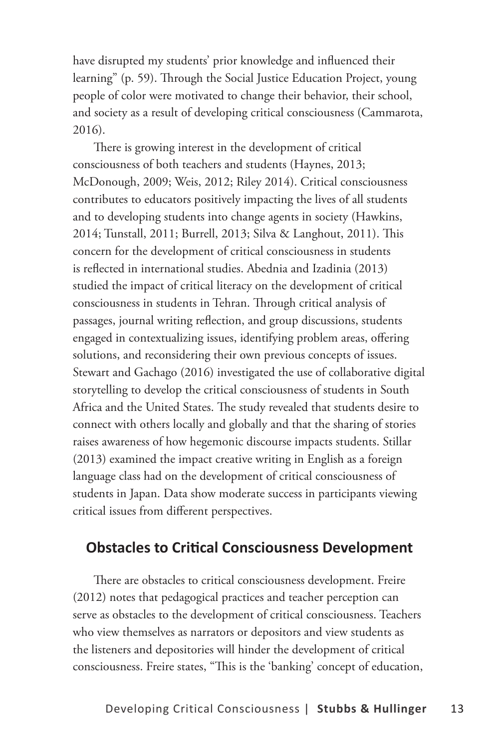have disrupted my students' prior knowledge and influenced their learning" (p. 59). Through the Social Justice Education Project, young people of color were motivated to change their behavior, their school, and society as a result of developing critical consciousness (Cammarota, 2016).

There is growing interest in the development of critical consciousness of both teachers and students (Haynes, 2013; McDonough, 2009; Weis, 2012; Riley 2014). Critical consciousness contributes to educators positively impacting the lives of all students and to developing students into change agents in society (Hawkins, 2014; Tunstall, 2011; Burrell, 2013; Silva & Langhout, 2011). This concern for the development of critical consciousness in students is reflected in international studies. Abednia and Izadinia (2013) studied the impact of critical literacy on the development of critical consciousness in students in Tehran. Through critical analysis of passages, journal writing reflection, and group discussions, students engaged in contextualizing issues, identifying problem areas, offering solutions, and reconsidering their own previous concepts of issues. Stewart and Gachago (2016) investigated the use of collaborative digital storytelling to develop the critical consciousness of students in South Africa and the United States. The study revealed that students desire to connect with others locally and globally and that the sharing of stories raises awareness of how hegemonic discourse impacts students. Stillar (2013) examined the impact creative writing in English as a foreign language class had on the development of critical consciousness of students in Japan. Data show moderate success in participants viewing critical issues from different perspectives.

## **Obstacles to Critical Consciousness Development**

There are obstacles to critical consciousness development. Freire (2012) notes that pedagogical practices and teacher perception can serve as obstacles to the development of critical consciousness. Teachers who view themselves as narrators or depositors and view students as the listeners and depositories will hinder the development of critical consciousness. Freire states, "This is the 'banking' concept of education,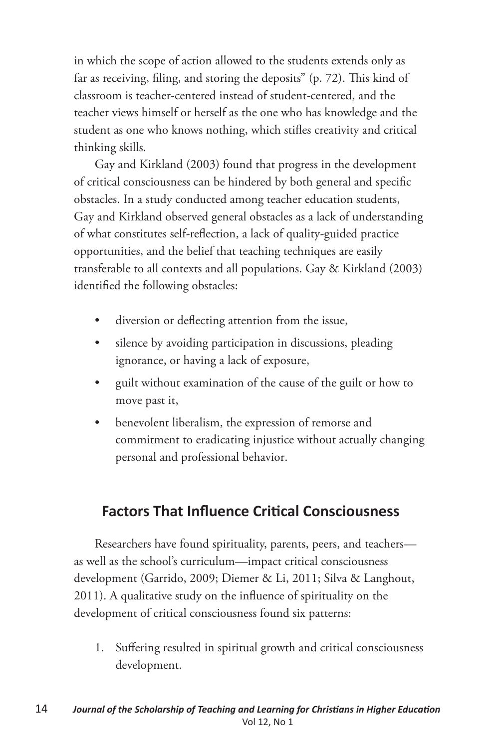in which the scope of action allowed to the students extends only as far as receiving, filing, and storing the deposits" (p. 72). This kind of classroom is teacher-centered instead of student-centered, and the teacher views himself or herself as the one who has knowledge and the student as one who knows nothing, which stifles creativity and critical thinking skills.

Gay and Kirkland (2003) found that progress in the development of critical consciousness can be hindered by both general and specific obstacles. In a study conducted among teacher education students, Gay and Kirkland observed general obstacles as a lack of understanding of what constitutes self-reflection, a lack of quality-guided practice opportunities, and the belief that teaching techniques are easily transferable to all contexts and all populations. Gay & Kirkland (2003) identified the following obstacles:

- diversion or deflecting attention from the issue,
- silence by avoiding participation in discussions, pleading ignorance, or having a lack of exposure,
- guilt without examination of the cause of the guilt or how to move past it,
- benevolent liberalism, the expression of remorse and commitment to eradicating injustice without actually changing personal and professional behavior.

## **Factors That Influence Critical Consciousness**

Researchers have found spirituality, parents, peers, and teachers as well as the school's curriculum—impact critical consciousness development (Garrido, 2009; Diemer & Li, 2011; Silva & Langhout, 2011). A qualitative study on the influence of spirituality on the development of critical consciousness found six patterns:

1. Suffering resulted in spiritual growth and critical consciousness development.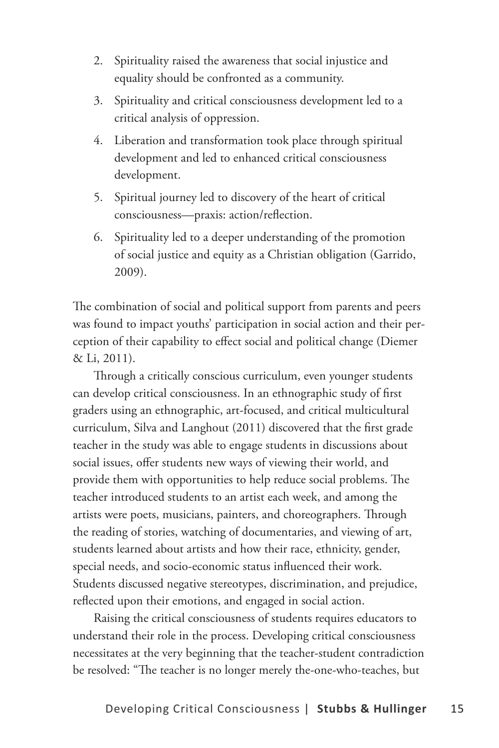- 2. Spirituality raised the awareness that social injustice and equality should be confronted as a community.
- 3. Spirituality and critical consciousness development led to a critical analysis of oppression.
- 4. Liberation and transformation took place through spiritual development and led to enhanced critical consciousness development.
- 5. Spiritual journey led to discovery of the heart of critical consciousness—praxis: action/reflection.
- 6. Spirituality led to a deeper understanding of the promotion of social justice and equity as a Christian obligation (Garrido, 2009).

The combination of social and political support from parents and peers was found to impact youths' participation in social action and their perception of their capability to effect social and political change (Diemer & Li, 2011).

Through a critically conscious curriculum, even younger students can develop critical consciousness. In an ethnographic study of first graders using an ethnographic, art-focused, and critical multicultural curriculum, Silva and Langhout (2011) discovered that the first grade teacher in the study was able to engage students in discussions about social issues, offer students new ways of viewing their world, and provide them with opportunities to help reduce social problems. The teacher introduced students to an artist each week, and among the artists were poets, musicians, painters, and choreographers. Through the reading of stories, watching of documentaries, and viewing of art, students learned about artists and how their race, ethnicity, gender, special needs, and socio-economic status influenced their work. Students discussed negative stereotypes, discrimination, and prejudice, reflected upon their emotions, and engaged in social action.

Raising the critical consciousness of students requires educators to understand their role in the process. Developing critical consciousness necessitates at the very beginning that the teacher-student contradiction be resolved: "The teacher is no longer merely the-one-who-teaches, but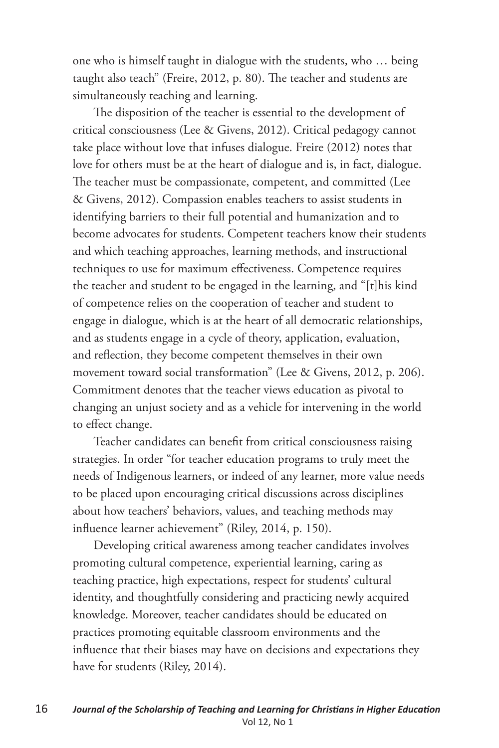one who is himself taught in dialogue with the students, who … being taught also teach" (Freire, 2012, p. 80). The teacher and students are simultaneously teaching and learning.

The disposition of the teacher is essential to the development of critical consciousness (Lee & Givens, 2012). Critical pedagogy cannot take place without love that infuses dialogue. Freire (2012) notes that love for others must be at the heart of dialogue and is, in fact, dialogue. The teacher must be compassionate, competent, and committed (Lee & Givens, 2012). Compassion enables teachers to assist students in identifying barriers to their full potential and humanization and to become advocates for students. Competent teachers know their students and which teaching approaches, learning methods, and instructional techniques to use for maximum effectiveness. Competence requires the teacher and student to be engaged in the learning, and "[t]his kind of competence relies on the cooperation of teacher and student to engage in dialogue, which is at the heart of all democratic relationships, and as students engage in a cycle of theory, application, evaluation, and reflection, they become competent themselves in their own movement toward social transformation" (Lee & Givens, 2012, p. 206). Commitment denotes that the teacher views education as pivotal to changing an unjust society and as a vehicle for intervening in the world to effect change.

Teacher candidates can benefit from critical consciousness raising strategies. In order "for teacher education programs to truly meet the needs of Indigenous learners, or indeed of any learner, more value needs to be placed upon encouraging critical discussions across disciplines about how teachers' behaviors, values, and teaching methods may influence learner achievement" (Riley, 2014, p. 150).

Developing critical awareness among teacher candidates involves promoting cultural competence, experiential learning, caring as teaching practice, high expectations, respect for students' cultural identity, and thoughtfully considering and practicing newly acquired knowledge. Moreover, teacher candidates should be educated on practices promoting equitable classroom environments and the influence that their biases may have on decisions and expectations they have for students (Riley, 2014).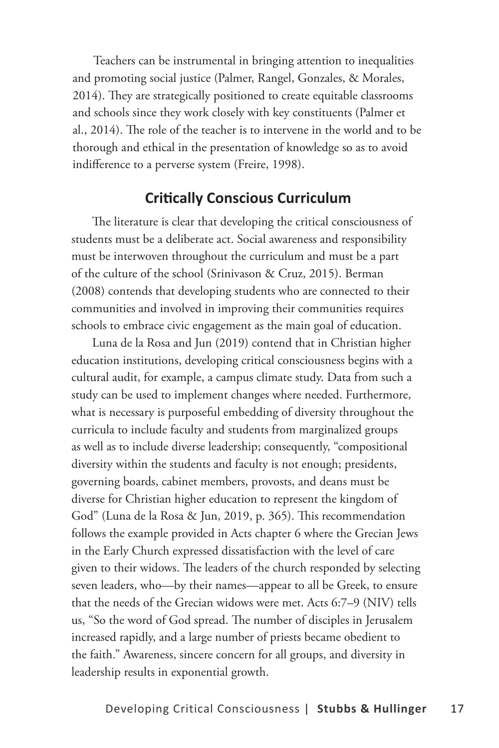Teachers can be instrumental in bringing attention to inequalities and promoting social justice (Palmer, Rangel, Gonzales, & Morales, 2014). They are strategically positioned to create equitable classrooms and schools since they work closely with key constituents (Palmer et al., 2014). The role of the teacher is to intervene in the world and to be thorough and ethical in the presentation of knowledge so as to avoid indifference to a perverse system (Freire, 1998).

#### **Critically Conscious Curriculum**

The literature is clear that developing the critical consciousness of students must be a deliberate act. Social awareness and responsibility must be interwoven throughout the curriculum and must be a part of the culture of the school (Srinivason & Cruz, 2015). Berman (2008) contends that developing students who are connected to their communities and involved in improving their communities requires schools to embrace civic engagement as the main goal of education.

Luna de la Rosa and Jun (2019) contend that in Christian higher education institutions, developing critical consciousness begins with a cultural audit, for example, a campus climate study. Data from such a study can be used to implement changes where needed. Furthermore, what is necessary is purposeful embedding of diversity throughout the curricula to include faculty and students from marginalized groups as well as to include diverse leadership; consequently, "compositional diversity within the students and faculty is not enough; presidents, governing boards, cabinet members, provosts, and deans must be diverse for Christian higher education to represent the kingdom of God" (Luna de la Rosa & Jun, 2019, p. 365). This recommendation follows the example provided in Acts chapter 6 where the Grecian Jews in the Early Church expressed dissatisfaction with the level of care given to their widows. The leaders of the church responded by selecting seven leaders, who—by their names—appear to all be Greek, to ensure that the needs of the Grecian widows were met. Acts 6:7–9 (NIV) tells us, "So the word of God spread. The number of disciples in Jerusalem increased rapidly, and a large number of priests became obedient to the faith." Awareness, sincere concern for all groups, and diversity in leadership results in exponential growth.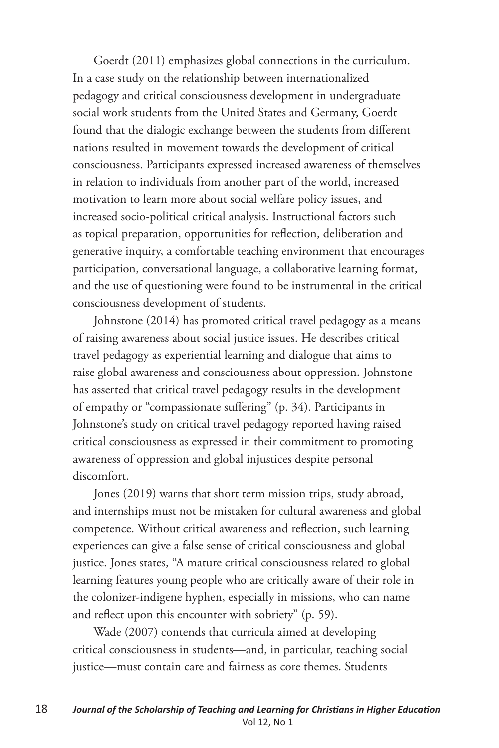Goerdt (2011) emphasizes global connections in the curriculum. In a case study on the relationship between internationalized pedagogy and critical consciousness development in undergraduate social work students from the United States and Germany, Goerdt found that the dialogic exchange between the students from different nations resulted in movement towards the development of critical consciousness. Participants expressed increased awareness of themselves in relation to individuals from another part of the world, increased motivation to learn more about social welfare policy issues, and increased socio-political critical analysis. Instructional factors such as topical preparation, opportunities for reflection, deliberation and generative inquiry, a comfortable teaching environment that encourages participation, conversational language, a collaborative learning format, and the use of questioning were found to be instrumental in the critical consciousness development of students.

Johnstone (2014) has promoted critical travel pedagogy as a means of raising awareness about social justice issues. He describes critical travel pedagogy as experiential learning and dialogue that aims to raise global awareness and consciousness about oppression. Johnstone has asserted that critical travel pedagogy results in the development of empathy or "compassionate suffering" (p. 34). Participants in Johnstone's study on critical travel pedagogy reported having raised critical consciousness as expressed in their commitment to promoting awareness of oppression and global injustices despite personal discomfort.

Jones (2019) warns that short term mission trips, study abroad, and internships must not be mistaken for cultural awareness and global competence. Without critical awareness and reflection, such learning experiences can give a false sense of critical consciousness and global justice. Jones states, "A mature critical consciousness related to global learning features young people who are critically aware of their role in the colonizer-indigene hyphen, especially in missions, who can name and reflect upon this encounter with sobriety" (p. 59).

Wade (2007) contends that curricula aimed at developing critical consciousness in students—and, in particular, teaching social justice—must contain care and fairness as core themes. Students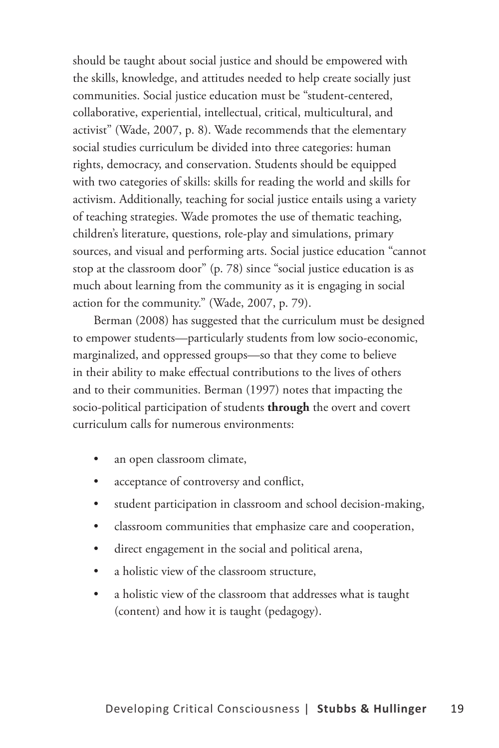should be taught about social justice and should be empowered with the skills, knowledge, and attitudes needed to help create socially just communities. Social justice education must be "student-centered, collaborative, experiential, intellectual, critical, multicultural, and activist" (Wade, 2007, p. 8). Wade recommends that the elementary social studies curriculum be divided into three categories: human rights, democracy, and conservation. Students should be equipped with two categories of skills: skills for reading the world and skills for activism. Additionally, teaching for social justice entails using a variety of teaching strategies. Wade promotes the use of thematic teaching, children's literature, questions, role-play and simulations, primary sources, and visual and performing arts. Social justice education "cannot stop at the classroom door" (p. 78) since "social justice education is as much about learning from the community as it is engaging in social action for the community." (Wade, 2007, p. 79).

Berman (2008) has suggested that the curriculum must be designed to empower students—particularly students from low socio-economic, marginalized, and oppressed groups—so that they come to believe in their ability to make effectual contributions to the lives of others and to their communities. Berman (1997) notes that impacting the socio-political participation of students **through** the overt and covert curriculum calls for numerous environments:

- an open classroom climate,
- acceptance of controversy and conflict,
- student participation in classroom and school decision-making,
- classroom communities that emphasize care and cooperation,
- direct engagement in the social and political arena,
- a holistic view of the classroom structure,
- a holistic view of the classroom that addresses what is taught (content) and how it is taught (pedagogy).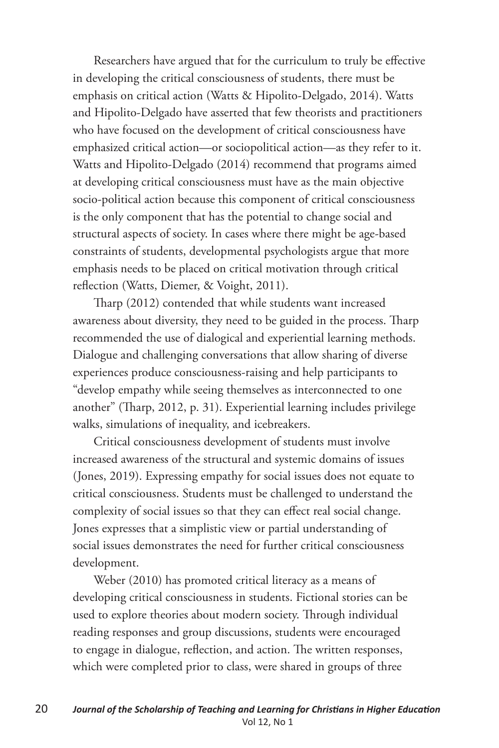Researchers have argued that for the curriculum to truly be effective in developing the critical consciousness of students, there must be emphasis on critical action (Watts & Hipolito-Delgado, 2014). Watts and Hipolito-Delgado have asserted that few theorists and practitioners who have focused on the development of critical consciousness have emphasized critical action—or sociopolitical action—as they refer to it. Watts and Hipolito-Delgado (2014) recommend that programs aimed at developing critical consciousness must have as the main objective socio-political action because this component of critical consciousness is the only component that has the potential to change social and structural aspects of society. In cases where there might be age-based constraints of students, developmental psychologists argue that more emphasis needs to be placed on critical motivation through critical reflection (Watts, Diemer, & Voight, 2011).

Tharp (2012) contended that while students want increased awareness about diversity, they need to be guided in the process. Tharp recommended the use of dialogical and experiential learning methods. Dialogue and challenging conversations that allow sharing of diverse experiences produce consciousness-raising and help participants to "develop empathy while seeing themselves as interconnected to one another" (Tharp, 2012, p. 31). Experiential learning includes privilege walks, simulations of inequality, and icebreakers.

Critical consciousness development of students must involve increased awareness of the structural and systemic domains of issues (Jones, 2019). Expressing empathy for social issues does not equate to critical consciousness. Students must be challenged to understand the complexity of social issues so that they can effect real social change. Jones expresses that a simplistic view or partial understanding of social issues demonstrates the need for further critical consciousness development.

Weber (2010) has promoted critical literacy as a means of developing critical consciousness in students. Fictional stories can be used to explore theories about modern society. Through individual reading responses and group discussions, students were encouraged to engage in dialogue, reflection, and action. The written responses, which were completed prior to class, were shared in groups of three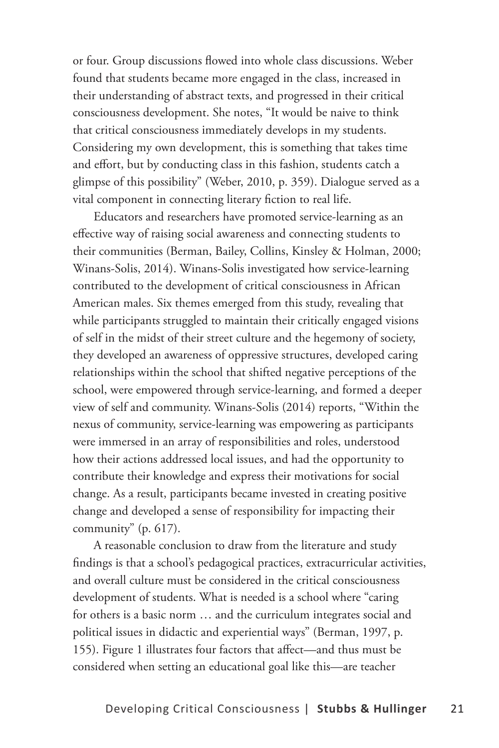or four. Group discussions flowed into whole class discussions. Weber found that students became more engaged in the class, increased in their understanding of abstract texts, and progressed in their critical consciousness development. She notes, "It would be naive to think that critical consciousness immediately develops in my students. Considering my own development, this is something that takes time and effort, but by conducting class in this fashion, students catch a glimpse of this possibility" (Weber, 2010, p. 359). Dialogue served as a vital component in connecting literary fiction to real life.

Educators and researchers have promoted service-learning as an effective way of raising social awareness and connecting students to their communities (Berman, Bailey, Collins, Kinsley & Holman, 2000; Winans-Solis, 2014). Winans-Solis investigated how service-learning contributed to the development of critical consciousness in African American males. Six themes emerged from this study, revealing that while participants struggled to maintain their critically engaged visions of self in the midst of their street culture and the hegemony of society, they developed an awareness of oppressive structures, developed caring relationships within the school that shifted negative perceptions of the school, were empowered through service-learning, and formed a deeper view of self and community. Winans-Solis (2014) reports, "Within the nexus of community, service-learning was empowering as participants were immersed in an array of responsibilities and roles, understood how their actions addressed local issues, and had the opportunity to contribute their knowledge and express their motivations for social change. As a result, participants became invested in creating positive change and developed a sense of responsibility for impacting their community" (p. 617).

A reasonable conclusion to draw from the literature and study findings is that a school's pedagogical practices, extracurricular activities, and overall culture must be considered in the critical consciousness development of students. What is needed is a school where "caring for others is a basic norm … and the curriculum integrates social and political issues in didactic and experiential ways" (Berman, 1997, p. 155). Figure 1 illustrates four factors that affect—and thus must be considered when setting an educational goal like this—are teacher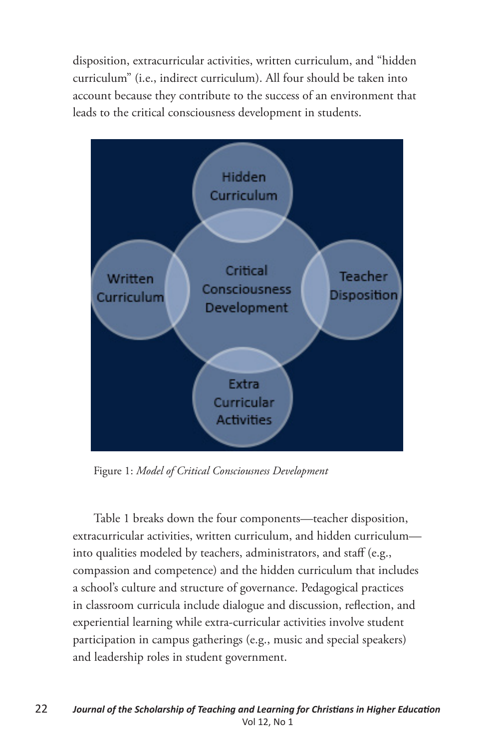disposition, extracurricular activities, written curriculum, and "hidden curriculum" (i.e., indirect curriculum). All four should be taken into account because they contribute to the success of an environment that leads to the critical consciousness development in students.



Figure 1: *Model of Critical Consciousness Development*

Table 1 breaks down the four components—teacher disposition, extracurricular activities, written curriculum, and hidden curriculum into qualities modeled by teachers, administrators, and staff (e.g., compassion and competence) and the hidden curriculum that includes a school's culture and structure of governance. Pedagogical practices in classroom curricula include dialogue and discussion, reflection, and experiential learning while extra-curricular activities involve student participation in campus gatherings (e.g., music and special speakers) and leadership roles in student government.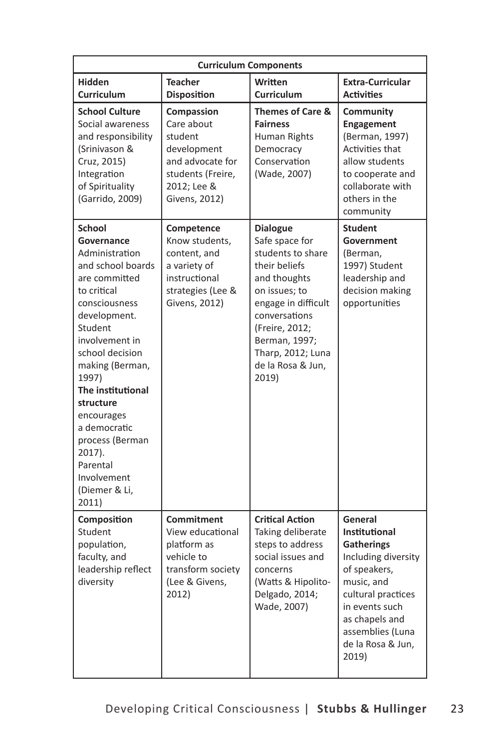| <b>Curriculum Components</b>                                                                                                                                                                                                                                                                                                                                      |                                                                                                                             |                                                                                                                                                                                                                                        |                                                                                                                                                                                                                |  |
|-------------------------------------------------------------------------------------------------------------------------------------------------------------------------------------------------------------------------------------------------------------------------------------------------------------------------------------------------------------------|-----------------------------------------------------------------------------------------------------------------------------|----------------------------------------------------------------------------------------------------------------------------------------------------------------------------------------------------------------------------------------|----------------------------------------------------------------------------------------------------------------------------------------------------------------------------------------------------------------|--|
| <b>Hidden</b><br><b>Curriculum</b>                                                                                                                                                                                                                                                                                                                                | <b>Teacher</b><br><b>Disposition</b>                                                                                        | Written<br><b>Curriculum</b>                                                                                                                                                                                                           | <b>Extra-Curricular</b><br><b>Activities</b>                                                                                                                                                                   |  |
| <b>School Culture</b><br>Social awareness<br>and responsibility<br>(Srinivason &<br>Cruz, 2015)<br>Integration<br>of Spirituality<br>(Garrido, 2009)                                                                                                                                                                                                              | Compassion<br>Care about<br>student<br>development<br>and advocate for<br>students (Freire,<br>2012; Lee &<br>Givens, 2012) | <b>Themes of Care &amp;</b><br><b>Fairness</b><br>Human Rights<br>Democracy<br>Conservation<br>(Wade, 2007)                                                                                                                            | Community<br>Engagement<br>(Berman, 1997)<br><b>Activities that</b><br>allow students<br>to cooperate and<br>collaborate with<br>others in the<br>community                                                    |  |
| <b>School</b><br>Governance<br>Administration<br>and school boards<br>are committed<br>to critical<br>consciousness<br>development.<br>Student<br>involvement in<br>school decision<br>making (Berman,<br>1997)<br>The institutional<br>structure<br>encourages<br>a democratic<br>process (Berman<br>2017).<br>Parental<br>Involvement<br>(Diemer & Li,<br>2011) | Competence<br>Know students,<br>content, and<br>a variety of<br>instructional<br>strategies (Lee &<br>Givens, 2012)         | <b>Dialogue</b><br>Safe space for<br>students to share<br>their beliefs<br>and thoughts<br>on issues; to<br>engage in difficult<br>conversations<br>(Freire, 2012;<br>Berman, 1997;<br>Tharp, 2012; Luna<br>de la Rosa & Jun,<br>2019) | <b>Student</b><br>Government<br>(Berman,<br>1997) Student<br>leadership and<br>decision making<br>opportunities                                                                                                |  |
| Composition<br>Student<br>population,<br>faculty, and<br>leadership reflect<br>diversity                                                                                                                                                                                                                                                                          | Commitment<br>View educational<br>platform as<br>vehicle to<br>transform society<br>(Lee & Givens,<br>2012)                 | <b>Critical Action</b><br>Taking deliberate<br>steps to address<br>social issues and<br>concerns<br>(Watts & Hipolito-<br>Delgado, 2014;<br>Wade, 2007)                                                                                | General<br>Institutional<br><b>Gatherings</b><br>Including diversity<br>of speakers,<br>music, and<br>cultural practices<br>in events such<br>as chapels and<br>assemblies (Luna<br>de la Rosa & Jun,<br>2019) |  |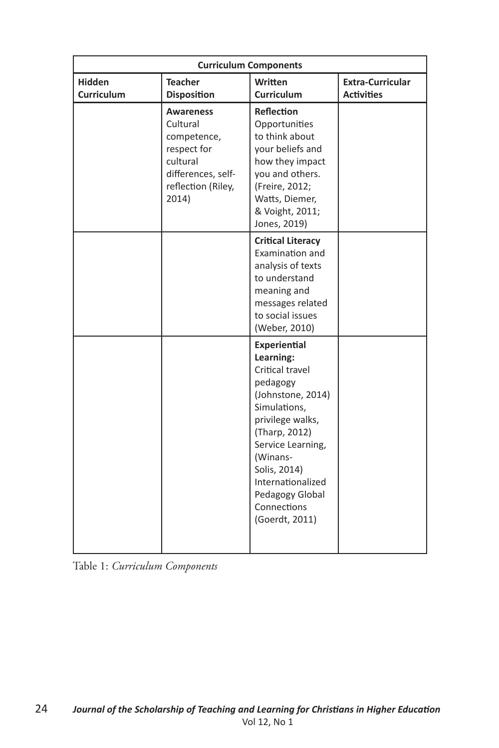| <b>Curriculum Components</b> |                                                                                                                             |                                                                                                                                                                                                                                                              |                                              |  |
|------------------------------|-----------------------------------------------------------------------------------------------------------------------------|--------------------------------------------------------------------------------------------------------------------------------------------------------------------------------------------------------------------------------------------------------------|----------------------------------------------|--|
| <b>Hidden</b><br>Curriculum  | <b>Teacher</b><br><b>Disposition</b>                                                                                        | Written<br><b>Curriculum</b>                                                                                                                                                                                                                                 | <b>Extra-Curricular</b><br><b>Activities</b> |  |
|                              | <b>Awareness</b><br>Cultural<br>competence,<br>respect for<br>cultural<br>differences, self-<br>reflection (Riley,<br>2014) | <b>Reflection</b><br>Opportunities<br>to think about<br>your beliefs and<br>how they impact<br>you and others.<br>(Freire, 2012;<br>Watts, Diemer,<br>& Voight, 2011;<br>Jones, 2019)                                                                        |                                              |  |
|                              |                                                                                                                             | <b>Critical Literacy</b><br>Examination and<br>analysis of texts<br>to understand<br>meaning and<br>messages related<br>to social issues<br>(Weber, 2010)                                                                                                    |                                              |  |
|                              |                                                                                                                             | Experiential<br>Learning:<br>Critical travel<br>pedagogy<br>(Johnstone, 2014)<br>Simulations,<br>privilege walks,<br>(Tharp, 2012)<br>Service Learning,<br>(Winans-<br>Solis, 2014)<br>Internationalized<br>Pedagogy Global<br>Connections<br>(Goerdt, 2011) |                                              |  |

Table 1: *Curriculum Components*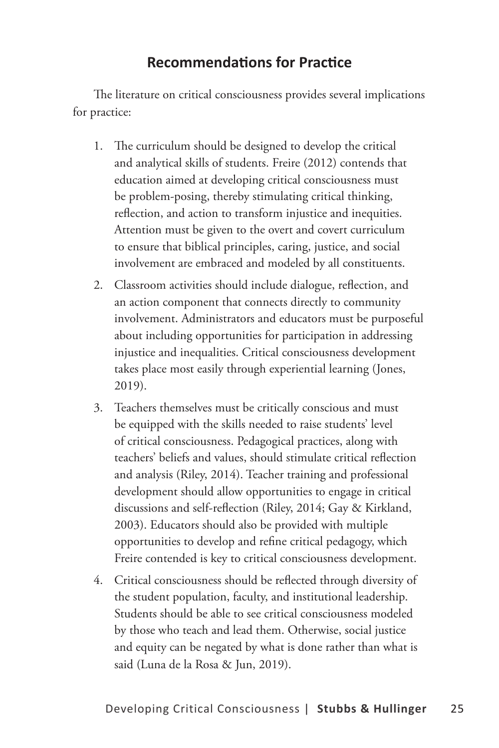## **Recommendations for Practice**

The literature on critical consciousness provides several implications for practice:

- 1. The curriculum should be designed to develop the critical and analytical skills of students. Freire (2012) contends that education aimed at developing critical consciousness must be problem-posing, thereby stimulating critical thinking, reflection, and action to transform injustice and inequities. Attention must be given to the overt and covert curriculum to ensure that biblical principles, caring, justice, and social involvement are embraced and modeled by all constituents.
- 2. Classroom activities should include dialogue, reflection, and an action component that connects directly to community involvement. Administrators and educators must be purposeful about including opportunities for participation in addressing injustice and inequalities. Critical consciousness development takes place most easily through experiential learning (Jones, 2019).
- 3. Teachers themselves must be critically conscious and must be equipped with the skills needed to raise students' level of critical consciousness. Pedagogical practices, along with teachers' beliefs and values, should stimulate critical reflection and analysis (Riley, 2014). Teacher training and professional development should allow opportunities to engage in critical discussions and self-reflection (Riley, 2014; Gay & Kirkland, 2003). Educators should also be provided with multiple opportunities to develop and refine critical pedagogy, which Freire contended is key to critical consciousness development.
- 4. Critical consciousness should be reflected through diversity of the student population, faculty, and institutional leadership. Students should be able to see critical consciousness modeled by those who teach and lead them. Otherwise, social justice and equity can be negated by what is done rather than what is said (Luna de la Rosa & Jun, 2019).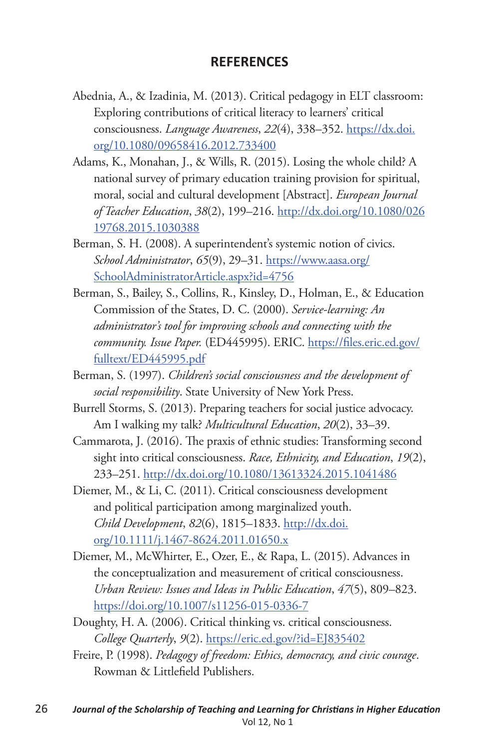#### **REFERENCES**

- Abednia, A., & Izadinia, M. (2013). Critical pedagogy in ELT classroom: Exploring contributions of critical literacy to learners' critical consciousness. *Language Awareness*, *22*(4), 338–352. https://dx.doi. org/10.1080/09658416.2012.733400
- Adams, K., Monahan, J., & Wills, R. (2015). Losing the whole child? A national survey of primary education training provision for spiritual, moral, social and cultural development [Abstract]. *European Journal of Teacher Education*, *38*(2), 199–216. http://dx.doi.org/10.1080/026 19768.2015.1030388
- Berman, S. H. (2008). A superintendent's systemic notion of civics. *School Administrator*, *65*(9), 29–31. https://www.aasa.org/ SchoolAdministratorArticle.aspx?id=4756
- Berman, S., Bailey, S., Collins, R., Kinsley, D., Holman, E., & Education Commission of the States, D. C. (2000). *Service-learning: An administrator's tool for improving schools and connecting with the community. Issue Paper.* (ED445995). ERIC. https://files.eric.ed.gov/ fulltext/ED445995.pdf
- Berman, S. (1997). *Children's social consciousness and the development of social responsibility*. State University of New York Press.
- Burrell Storms, S. (2013). Preparing teachers for social justice advocacy. Am I walking my talk? *Multicultural Education*, *20*(2), 33–39.
- Cammarota, J. (2016). The praxis of ethnic studies: Transforming second sight into critical consciousness. *Race, Ethnicity, and Education*, *19*(2), 233–251. http://dx.doi.org/10.1080/13613324.2015.1041486
- Diemer, M., & Li, C. (2011). Critical consciousness development and political participation among marginalized youth. *Child Development*, *82*(6), 1815–1833. http://dx.doi. org/10.1111/j.1467-8624.2011.01650.x
- Diemer, M., McWhirter, E., Ozer, E., & Rapa, L. (2015). Advances in the conceptualization and measurement of critical consciousness. *Urban Review: Issues and Ideas in Public Education*, *47*(5), 809–823. https://doi.org/10.1007/s11256-015-0336-7
- Doughty, H. A. (2006). Critical thinking vs. critical consciousness. *College Quarterly*, *9*(2). https://eric.ed.gov/?id=EJ835402
- Freire, P. (1998). *Pedagogy of freedom: Ethics, democracy, and civic courage*. Rowman & Littlefield Publishers.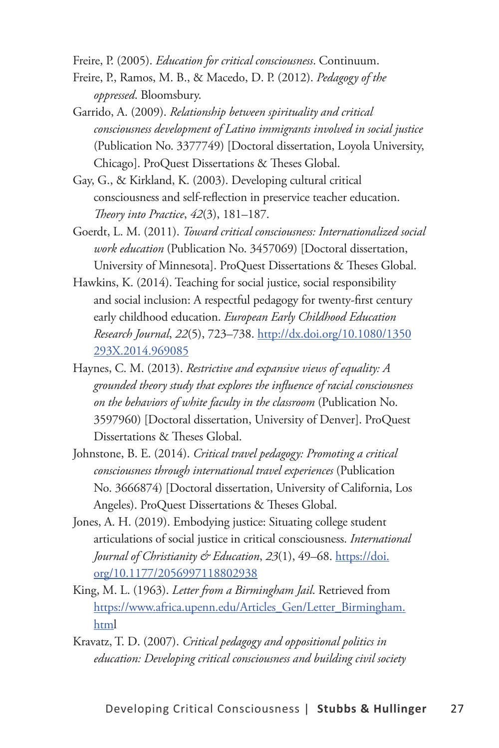Freire, P. (2005). *Education for critical consciousness*. Continuum.

- Freire, P., Ramos, M. B., & Macedo, D. P. (2012). *Pedagogy of the oppressed*. Bloomsbury.
- Garrido, A. (2009). *Relationship between spirituality and critical consciousness development of Latino immigrants involved in social justice*  (Publication No. 3377749) [Doctoral dissertation, Loyola University, Chicago]. ProQuest Dissertations & Theses Global.
- Gay, G., & Kirkland, K. (2003). Developing cultural critical consciousness and self-reflection in preservice teacher education. *Theory into Practice*, *42*(3), 181–187.
- Goerdt, L. M. (2011). *Toward critical consciousness: Internationalized social work education* (Publication No. 3457069) [Doctoral dissertation, University of Minnesota]. ProQuest Dissertations & Theses Global.
- Hawkins, K. (2014). Teaching for social justice, social responsibility and social inclusion: A respectful pedagogy for twenty-first century early childhood education. *European Early Childhood Education Research Journal*, *22*(5), 723–738. http://dx.doi.org/10.1080/1350 293X.2014.969085
- Haynes, C. M. (2013). *Restrictive and expansive views of equality: A grounded theory study that explores the influence of racial consciousness on the behaviors of white faculty in the classroom* (Publication No. 3597960) [Doctoral dissertation, University of Denver]. ProQuest Dissertations & Theses Global.
- Johnstone, B. E. (2014). *Critical travel pedagogy: Promoting a critical consciousness through international travel experiences* (Publication No. 3666874) [Doctoral dissertation, University of California, Los Angeles). ProQuest Dissertations & Theses Global.
- Jones, A. H. (2019). Embodying justice: Situating college student articulations of social justice in critical consciousness. *International Journal of Christianity & Education*, *23*(1), 49–68. https://doi. org/10.1177/2056997118802938
- King, M. L. (1963). *Letter from a Birmingham Jail*. Retrieved from https://www.africa.upenn.edu/Articles\_Gen/Letter\_Birmingham. html
- Kravatz, T. D. (2007). *Critical pedagogy and oppositional politics in education: Developing critical consciousness and building civil society*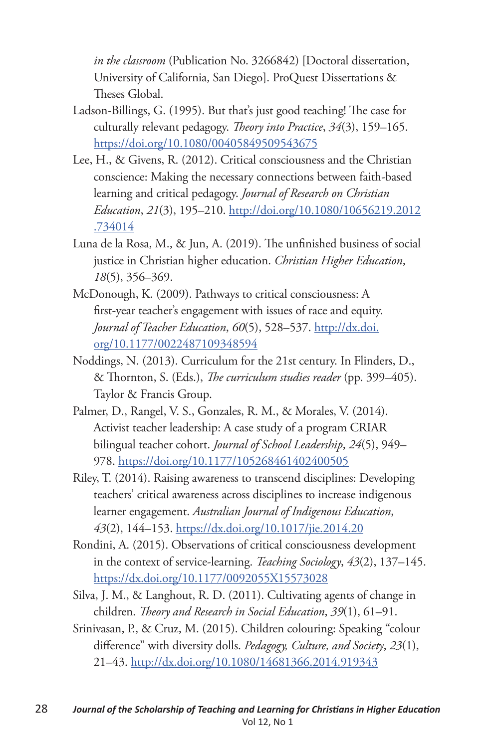*in the classroom* (Publication No. 3266842) [Doctoral dissertation, University of California, San Diego]. ProQuest Dissertations & Theses Global.

- Ladson-Billings, G. (1995). But that's just good teaching! The case for culturally relevant pedagogy. *Theory into Practice*, *34*(3), 159–165. https://doi.org/10.1080/00405849509543675
- Lee, H., & Givens, R. (2012). Critical consciousness and the Christian conscience: Making the necessary connections between faith-based learning and critical pedagogy. *Journal of Research on Christian Education*, *21*(3), 195–210. http://doi.org/10.1080/10656219.2012 .734014
- Luna de la Rosa, M., & Jun, A. (2019). The unfinished business of social justice in Christian higher education. *Christian Higher Education*, *18*(5), 356–369.
- McDonough, K. (2009). Pathways to critical consciousness: A first-year teacher's engagement with issues of race and equity. *Journal of Teacher Education*, *60*(5), 528–537. http://dx.doi. org/10.1177/0022487109348594
- Noddings, N. (2013). Curriculum for the 21st century. In Flinders, D., & Thornton, S. (Eds.), *The curriculum studies reader* (pp. 399–405). Taylor & Francis Group.
- Palmer, D., Rangel, V. S., Gonzales, R. M., & Morales, V. (2014). Activist teacher leadership: A case study of a program CRIAR bilingual teacher cohort. *Journal of School Leadership*, *24*(5), 949– 978. https://doi.org/10.1177/105268461402400505
- Riley, T. (2014). Raising awareness to transcend disciplines: Developing teachers' critical awareness across disciplines to increase indigenous learner engagement. *Australian Journal of Indigenous Education*, *43*(2), 144–153. https://dx.doi.org/10.1017/jie.2014.20
- Rondini, A. (2015). Observations of critical consciousness development in the context of service-learning. *Teaching Sociology*, *43*(2), 137–145. https://dx.doi.org/10.1177/0092055X15573028
- Silva, J. M., & Langhout, R. D. (2011). Cultivating agents of change in children. *Theory and Research in Social Education*, *39*(1), 61–91.
- Srinivasan, P., & Cruz, M. (2015). Children colouring: Speaking "colour difference" with diversity dolls. *Pedagogy, Culture, and Society*, *23*(1), 21–43. http://dx.doi.org/10.1080/14681366.2014.919343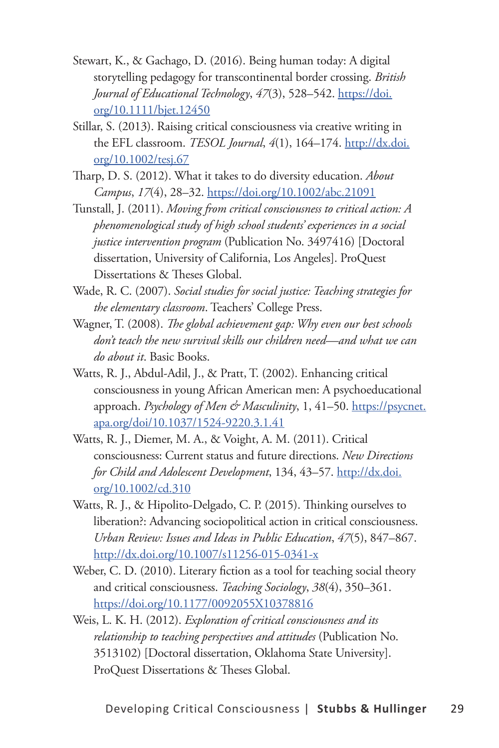- Stewart, K., & Gachago, D. (2016). Being human today: A digital storytelling pedagogy for transcontinental border crossing. *British Journal of Educational Technology*, *47*(3), 528–542. https://doi. org/10.1111/bjet.12450
- Stillar, S. (2013). Raising critical consciousness via creative writing in the EFL classroom. *TESOL Journal*, *4*(1), 164–174. http://dx.doi. org/10.1002/tesj.67
- Tharp, D. S. (2012). What it takes to do diversity education. *About Campus*, *17*(4), 28–32. https://doi.org/10.1002/abc.21091
- Tunstall, J. (2011). *Moving from critical consciousness to critical action: A phenomenological study of high school students' experiences in a social justice intervention program* (Publication No. 3497416) [Doctoral dissertation, University of California, Los Angeles]. ProQuest Dissertations & Theses Global.
- Wade, R. C. (2007). *Social studies for social justice: Teaching strategies for the elementary classroom*. Teachers' College Press.
- Wagner, T. (2008). *The global achievement gap: Why even our best schools don't teach the new survival skills our children need—and what we can do about it*. Basic Books.
- Watts, R. J., Abdul-Adil, J., & Pratt, T. (2002). Enhancing critical consciousness in young African American men: A psychoeducational approach. *Psychology of Men & Masculinity*, 1, 41–50. https://psycnet. apa.org/doi/10.1037/1524-9220.3.1.41
- Watts, R. J., Diemer, M. A., & Voight, A. M. (2011). Critical consciousness: Current status and future directions. *New Directions for Child and Adolescent Development*, 134, 43–57. http://dx.doi. org/10.1002/cd.310
- Watts, R. J., & Hipolito-Delgado, C. P. (2015). Thinking ourselves to liberation?: Advancing sociopolitical action in critical consciousness. *Urban Review: Issues and Ideas in Public Education*, *47*(5), 847–867. http://dx.doi.org/10.1007/s11256-015-0341-x
- Weber, C. D. (2010). Literary fiction as a tool for teaching social theory and critical consciousness. *Teaching Sociology*, *38*(4), 350–361. https://doi.org/10.1177/0092055X10378816
- Weis, L. K. H. (2012). *Exploration of critical consciousness and its relationship to teaching perspectives and attitudes* (Publication No. 3513102) [Doctoral dissertation, Oklahoma State University]. ProQuest Dissertations & Theses Global.